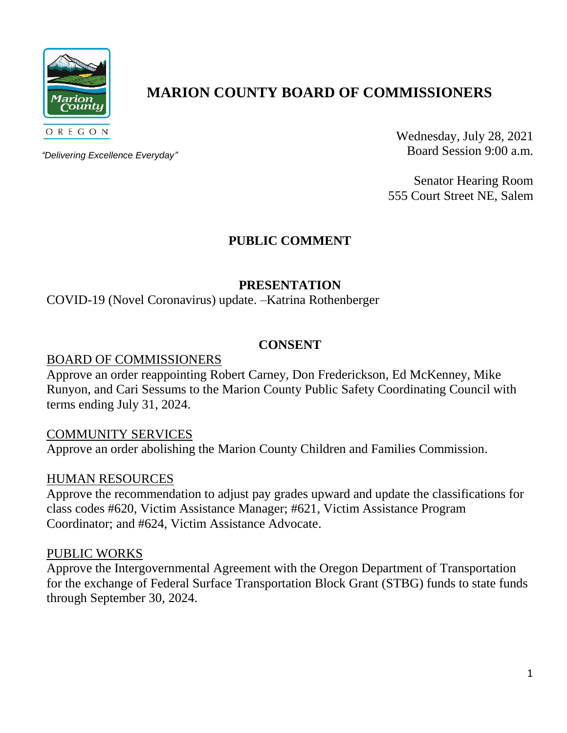

# **MARION COUNTY BOARD OF COMMISSIONERS**

*"Delivering Excellence Everyday"*

Wednesday, July 28, 2021 Board Session 9:00 a.m.

Senator Hearing Room 555 Court Street NE, Salem

# **PUBLIC COMMENT**

### **PRESENTATION**

COVID-19 (Novel Coronavirus) update. –Katrina Rothenberger

### **CONSENT**

### BOARD OF COMMISSIONERS

Approve an order reappointing Robert Carney, Don Frederickson, Ed McKenney, Mike Runyon, and Cari Sessums to the Marion County Public Safety Coordinating Council with terms ending July 31, 2024.

### COMMUNITY SERVICES

Approve an order abolishing the Marion County Children and Families Commission.

### HUMAN RESOURCES

Approve the recommendation to adjust pay grades upward and update the classifications for class codes #620, Victim Assistance Manager; #621, Victim Assistance Program Coordinator; and #624, Victim Assistance Advocate.

### PUBLIC WORKS

Approve the Intergovernmental Agreement with the Oregon Department of Transportation for the exchange of Federal Surface Transportation Block Grant (STBG) funds to state funds through September 30, 2024.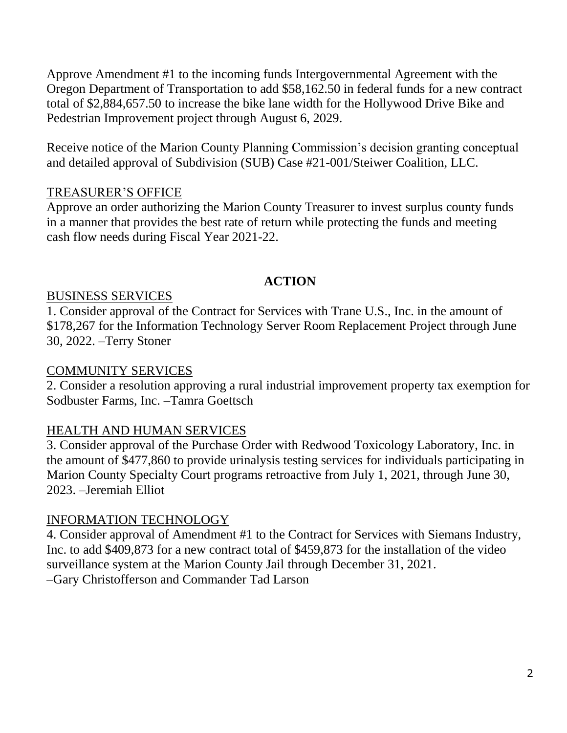Approve Amendment #1 to the incoming funds Intergovernmental Agreement with the Oregon Department of Transportation to add \$58,162.50 in federal funds for a new contract total of \$2,884,657.50 to increase the bike lane width for the Hollywood Drive Bike and Pedestrian Improvement project through August 6, 2029.

Receive notice of the Marion County Planning Commission's decision granting conceptual and detailed approval of Subdivision (SUB) Case #21-001/Steiwer Coalition, LLC.

# TREASURER'S OFFICE

Approve an order authorizing the Marion County Treasurer to invest surplus county funds in a manner that provides the best rate of return while protecting the funds and meeting cash flow needs during Fiscal Year 2021-22.

# **ACTION**

# BUSINESS SERVICES

1. Consider approval of the Contract for Services with Trane U.S., Inc. in the amount of \$178,267 for the Information Technology Server Room Replacement Project through June 30, 2022. –Terry Stoner

# COMMUNITY SERVICES

2. Consider a resolution approving a rural industrial improvement property tax exemption for Sodbuster Farms, Inc. –Tamra Goettsch

# HEALTH AND HUMAN SERVICES

3. Consider approval of the Purchase Order with Redwood Toxicology Laboratory, Inc. in the amount of \$477,860 to provide urinalysis testing services for individuals participating in Marion County Specialty Court programs retroactive from July 1, 2021, through June 30, 2023. –Jeremiah Elliot

# INFORMATION TECHNOLOGY

4. Consider approval of Amendment #1 to the Contract for Services with Siemans Industry, Inc. to add \$409,873 for a new contract total of \$459,873 for the installation of the video surveillance system at the Marion County Jail through December 31, 2021.

–Gary Christofferson and Commander Tad Larson